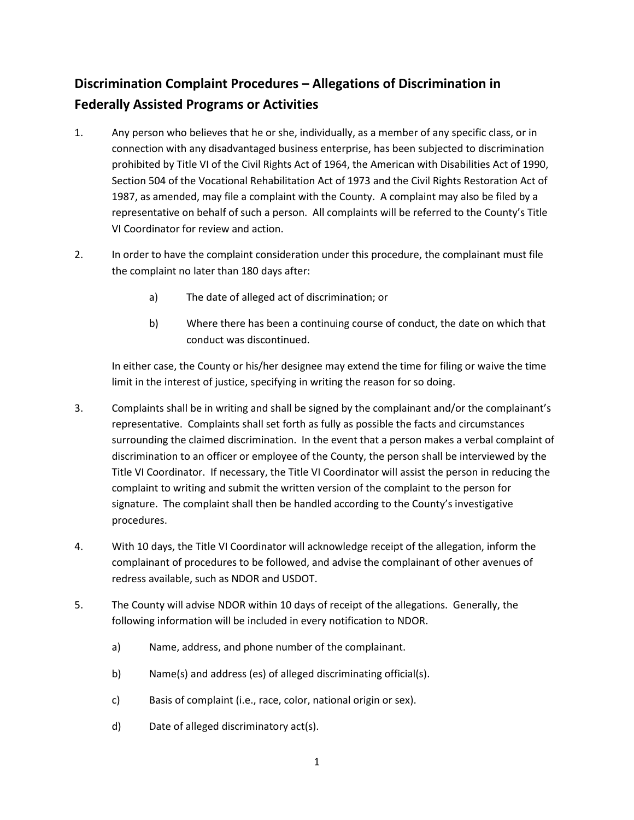## **Discrimination Complaint Procedures – Allegations of Discrimination in Federally Assisted Programs or Activities**

- 1. Any person who believes that he or she, individually, as a member of any specific class, or in connection with any disadvantaged business enterprise, has been subjected to discrimination prohibited by Title VI of the Civil Rights Act of 1964, the American with Disabilities Act of 1990, Section 504 of the Vocational Rehabilitation Act of 1973 and the Civil Rights Restoration Act of 1987, as amended, may file a complaint with the County. A complaint may also be filed by a representative on behalf of such a person. All complaints will be referred to the County's Title VI Coordinator for review and action.
- 2. In order to have the complaint consideration under this procedure, the complainant must file the complaint no later than 180 days after:
	- a) The date of alleged act of discrimination; or
	- b) Where there has been a continuing course of conduct, the date on which that conduct was discontinued.

In either case, the County or his/her designee may extend the time for filing or waive the time limit in the interest of justice, specifying in writing the reason for so doing.

- 3. Complaints shall be in writing and shall be signed by the complainant and/or the complainant's representative. Complaints shall set forth as fully as possible the facts and circumstances surrounding the claimed discrimination. In the event that a person makes a verbal complaint of discrimination to an officer or employee of the County, the person shall be interviewed by the Title VI Coordinator. If necessary, the Title VI Coordinator will assist the person in reducing the complaint to writing and submit the written version of the complaint to the person for signature. The complaint shall then be handled according to the County's investigative procedures.
- 4. With 10 days, the Title VI Coordinator will acknowledge receipt of the allegation, inform the complainant of procedures to be followed, and advise the complainant of other avenues of redress available, such as NDOR and USDOT.
- 5. The County will advise NDOR within 10 days of receipt of the allegations. Generally, the following information will be included in every notification to NDOR.
	- a) Name, address, and phone number of the complainant.
	- b) Name(s) and address (es) of alleged discriminating official(s).
	- c) Basis of complaint (i.e., race, color, national origin or sex).
	- d) Date of alleged discriminatory act(s).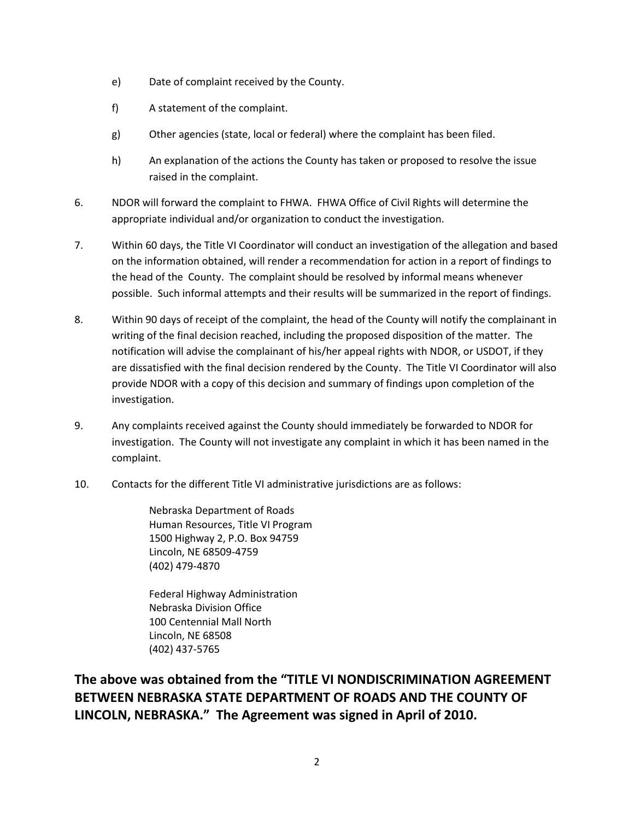- e) Date of complaint received by the County.
- f) A statement of the complaint.
- g) Other agencies (state, local or federal) where the complaint has been filed.
- h) An explanation of the actions the County has taken or proposed to resolve the issue raised in the complaint.
- 6. NDOR will forward the complaint to FHWA. FHWA Office of Civil Rights will determine the appropriate individual and/or organization to conduct the investigation.
- 7. Within 60 days, the Title VI Coordinator will conduct an investigation of the allegation and based on the information obtained, will render a recommendation for action in a report of findings to the head of the County. The complaint should be resolved by informal means whenever possible. Such informal attempts and their results will be summarized in the report of findings.
- 8. Within 90 days of receipt of the complaint, the head of the County will notify the complainant in writing of the final decision reached, including the proposed disposition of the matter. The notification will advise the complainant of his/her appeal rights with NDOR, or USDOT, if they are dissatisfied with the final decision rendered by the County. The Title VI Coordinator will also provide NDOR with a copy of this decision and summary of findings upon completion of the investigation.
- 9. Any complaints received against the County should immediately be forwarded to NDOR for investigation. The County will not investigate any complaint in which it has been named in the complaint.
- 10. Contacts for the different Title VI administrative jurisdictions are as follows:

Nebraska Department of Roads Human Resources, Title VI Program 1500 Highway 2, P.O. Box 94759 Lincoln, NE 68509-4759 (402) 479-4870

Federal Highway Administration Nebraska Division Office 100 Centennial Mall North Lincoln, NE 68508 (402) 437-5765

**The above was obtained from the "TITLE VI NONDISCRIMINATION AGREEMENT BETWEEN NEBRASKA STATE DEPARTMENT OF ROADS AND THE COUNTY OF LINCOLN, NEBRASKA." The Agreement was signed in April of 2010.**